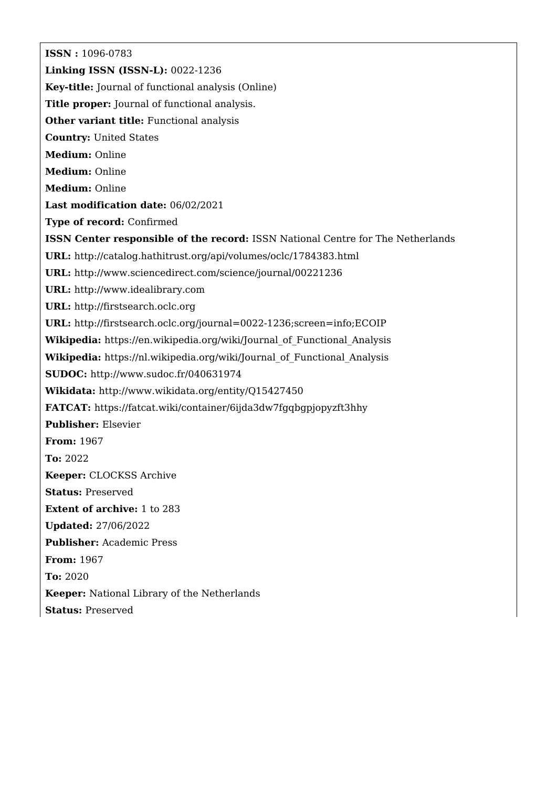**ISSN :** 1096-0783 **Linking ISSN (ISSN-L):** 0022-1236 **Key-title:** Journal of functional analysis (Online) **Title proper:** Journal of functional analysis. **Other variant title:** Functional analysis **Country:** United States **Medium:** Online **Medium:** Online **Medium:** Online **Last modification date:** 06/02/2021 **Type of record:** Confirmed **ISSN Center responsible of the record:** ISSN National Centre for The Netherlands **URL:** <http://catalog.hathitrust.org/api/volumes/oclc/1784383.html> **URL:** <http://www.sciencedirect.com/science/journal/00221236> **URL:** <http://www.idealibrary.com> **URL:** <http://firstsearch.oclc.org> **URL:** <http://firstsearch.oclc.org/journal=0022-1236;screen=info;ECOIP> **Wikipedia:** [https://en.wikipedia.org/wiki/Journal\\_of\\_Functional\\_Analysis](https://en.wikipedia.org/wiki/Journal_of_Functional_Analysis) Wikipedia: https://nl.wikipedia.org/wiki/Journal of Functional Analysis **SUDOC:** <http://www.sudoc.fr/040631974> **Wikidata:** <http://www.wikidata.org/entity/Q15427450> **FATCAT:** <https://fatcat.wiki/container/6ijda3dw7fgqbgpjopyzft3hhy> **Publisher:** Elsevier **From:** 1967 **To:** 2022 **Keeper:** CLOCKSS Archive **Status:** Preserved **Extent of archive:** 1 to 283 **Updated:** 27/06/2022 **Publisher:** Academic Press **From:** 1967 **To:** 2020 **Keeper:** National Library of the Netherlands **Status:** Preserved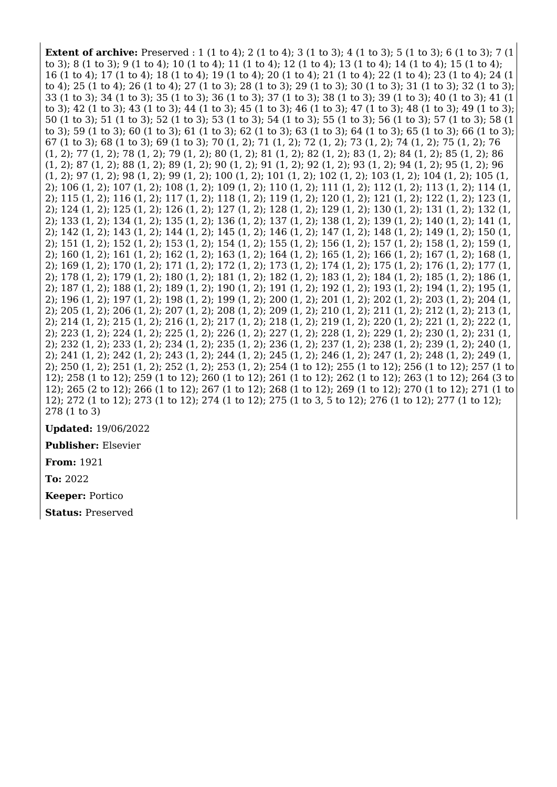**Extent of archive:** Preserved : 1 (1 to 4); 2 (1 to 4); 3 (1 to 3); 4 (1 to 3); 5 (1 to 3); 6 (1 to 3); 7 (1 to 3); 8 (1 to 3); 9 (1 to 4); 10 (1 to 4); 11 (1 to 4); 12 (1 to 4); 13 (1 to 4); 14 (1 to 4); 15 (1 to 4); 16 (1 to 4); 17 (1 to 4); 18 (1 to 4); 19 (1 to 4); 20 (1 to 4); 21 (1 to 4); 22 (1 to 4); 23 (1 to 4); 24 (1 to 4); 25 (1 to 4); 26 (1 to 4); 27 (1 to 3); 28 (1 to 3); 29 (1 to 3); 30 (1 to 3); 31 (1 to 3); 32 (1 to 3); 33 (1 to 3); 34 (1 to 3); 35 (1 to 3); 36 (1 to 3); 37 (1 to 3); 38 (1 to 3); 39 (1 to 3); 40 (1 to 3); 41 (1 to 3); 42 (1 to 3); 43 (1 to 3); 44 (1 to 3); 45 (1 to 3); 46 (1 to 3); 47 (1 to 3); 48 (1 to 3); 49 (1 to 3); 50 (1 to 3); 51 (1 to 3); 52 (1 to 3); 53 (1 to 3); 54 (1 to 3); 55 (1 to 3); 56 (1 to 3); 57 (1 to 3); 58 (1 to 3); 59 (1 to 3); 60 (1 to 3); 61 (1 to 3); 62 (1 to 3); 63 (1 to 3); 64 (1 to 3); 65 (1 to 3); 66 (1 to 3); 67 (1 to 3); 68 (1 to 3); 69 (1 to 3); 70 (1, 2); 71 (1, 2); 72 (1, 2); 73 (1, 2); 74 (1, 2); 75 (1, 2); 76 (1, 2); 77 (1, 2); 78 (1, 2); 79 (1, 2); 80 (1, 2); 81 (1, 2); 82 (1, 2); 83 (1, 2); 84 (1, 2); 85 (1, 2); 86 (1, 2); 87 (1, 2); 88 (1, 2); 89 (1, 2); 90 (1, 2); 91 (1, 2); 92 (1, 2); 93 (1, 2); 94 (1, 2); 95 (1, 2); 96 (1, 2); 97 (1, 2); 98 (1, 2); 99 (1, 2); 100 (1, 2); 101 (1, 2); 102 (1, 2); 103 (1, 2); 104 (1, 2); 105 (1, 2); 106 (1, 2); 107 (1, 2); 108 (1, 2); 109 (1, 2); 110 (1, 2); 111 (1, 2); 112 (1, 2); 113 (1, 2); 114 (1, 2); 115 (1, 2); 116 (1, 2); 117 (1, 2); 118 (1, 2); 119 (1, 2); 120 (1, 2); 121 (1, 2); 122 (1, 2); 123 (1, 2); 124 (1, 2); 125 (1, 2); 126 (1, 2); 127 (1, 2); 128 (1, 2); 129 (1, 2); 130 (1, 2); 131 (1, 2); 132 (1, 2); 133 (1, 2); 134 (1, 2); 135 (1, 2); 136 (1, 2); 137 (1, 2); 138 (1, 2); 139 (1, 2); 140 (1, 2); 141 (1, 2); 142 (1, 2); 143 (1, 2); 144 (1, 2); 145 (1, 2); 146 (1, 2); 147 (1, 2); 148 (1, 2); 149 (1, 2); 150 (1, 2); 151 (1, 2); 152 (1, 2); 153 (1, 2); 154 (1, 2); 155 (1, 2); 156 (1, 2); 157 (1, 2); 158 (1, 2); 159 (1, 2); 160 (1, 2); 161 (1, 2); 162 (1, 2); 163 (1, 2); 164 (1, 2); 165 (1, 2); 166 (1, 2); 167 (1, 2); 168 (1, 2); 169 (1, 2); 170 (1, 2); 171 (1, 2); 172 (1, 2); 173 (1, 2); 174 (1, 2); 175 (1, 2); 176 (1, 2); 177 (1, 2); 178 (1, 2); 179 (1, 2); 180 (1, 2); 181 (1, 2); 182 (1, 2); 183 (1, 2); 184 (1, 2); 185 (1, 2); 186 (1, 2); 187 (1, 2); 188 (1, 2); 189 (1, 2); 190 (1, 2); 191 (1, 2); 192 (1, 2); 193 (1, 2); 194 (1, 2); 195 (1, 2); 196 (1, 2); 197 (1, 2); 198 (1, 2); 199 (1, 2); 200 (1, 2); 201 (1, 2); 202 (1, 2); 203 (1, 2); 204 (1, 2); 205 (1, 2); 206 (1, 2); 207 (1, 2); 208 (1, 2); 209 (1, 2); 210 (1, 2); 211 (1, 2); 212 (1, 2); 213 (1, 2); 214 (1, 2); 215 (1, 2); 216 (1, 2); 217 (1, 2); 218 (1, 2); 219 (1, 2); 220 (1, 2); 221 (1, 2); 222 (1, 2); 223 (1, 2); 224 (1, 2); 225 (1, 2); 226 (1, 2); 227 (1, 2); 228 (1, 2); 229 (1, 2); 230 (1, 2); 231 (1, 2); 232 (1, 2); 233 (1, 2); 234 (1, 2); 235 (1, 2); 236 (1, 2); 237 (1, 2); 238 (1, 2); 239 (1, 2); 240 (1, 2); 241 (1, 2); 242 (1, 2); 243 (1, 2); 244 (1, 2); 245 (1, 2); 246 (1, 2); 247 (1, 2); 248 (1, 2); 249 (1, 2); 250 (1, 2); 251 (1, 2); 252 (1, 2); 253 (1, 2); 254 (1 to 12); 255 (1 to 12); 256 (1 to 12); 257 (1 to 12); 258 (1 to 12); 259 (1 to 12); 260 (1 to 12); 261 (1 to 12); 262 (1 to 12); 263 (1 to 12); 264 (3 to 12); 265 (2 to 12); 266 (1 to 12); 267 (1 to 12); 268 (1 to 12); 269 (1 to 12); 270 (1 to 12); 271 (1 to 12); 272 (1 to 12); 273 (1 to 12); 274 (1 to 12); 275 (1 to 3, 5 to 12); 276 (1 to 12); 277 (1 to 12); 278 (1 to 3)

**Updated:** 19/06/2022

**Publisher:** Elsevier

**From:** 1921

**To:** 2022

**Keeper:** Portico

**Status:** Preserved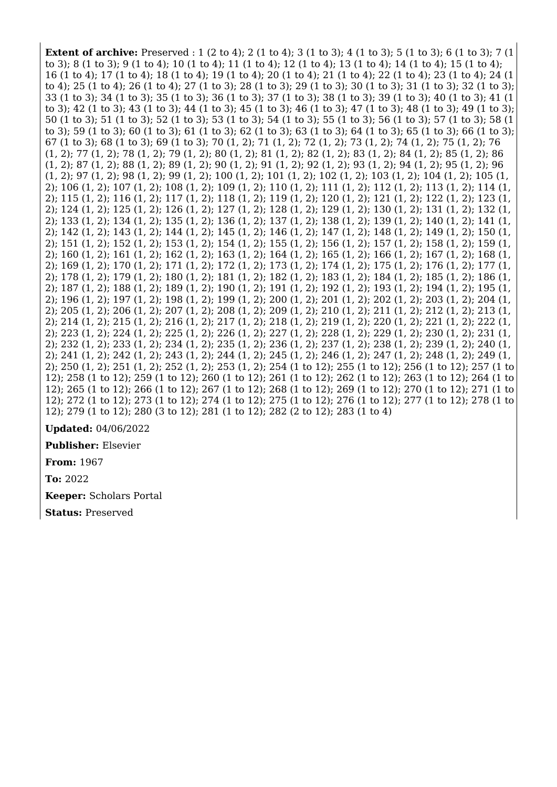**Extent of archive:** Preserved : 1 (2 to 4); 2 (1 to 4); 3 (1 to 3); 4 (1 to 3); 5 (1 to 3); 6 (1 to 3); 7 (1 to 3); 8 (1 to 3); 9 (1 to 4); 10 (1 to 4); 11 (1 to 4); 12 (1 to 4); 13 (1 to 4); 14 (1 to 4); 15 (1 to 4); 16 (1 to 4); 17 (1 to 4); 18 (1 to 4); 19 (1 to 4); 20 (1 to 4); 21 (1 to 4); 22 (1 to 4); 23 (1 to 4); 24 (1 to 4); 25 (1 to 4); 26 (1 to 4); 27 (1 to 3); 28 (1 to 3); 29 (1 to 3); 30 (1 to 3); 31 (1 to 3); 32 (1 to 3); 33 (1 to 3); 34 (1 to 3); 35 (1 to 3); 36 (1 to 3); 37 (1 to 3); 38 (1 to 3); 39 (1 to 3); 40 (1 to 3); 41 (1 to 3); 42 (1 to 3); 43 (1 to 3); 44 (1 to 3); 45 (1 to 3); 46 (1 to 3); 47 (1 to 3); 48 (1 to 3); 49 (1 to 3); 50 (1 to 3); 51 (1 to 3); 52 (1 to 3); 53 (1 to 3); 54 (1 to 3); 55 (1 to 3); 56 (1 to 3); 57 (1 to 3); 58 (1 to 3); 59 (1 to 3); 60 (1 to 3); 61 (1 to 3); 62 (1 to 3); 63 (1 to 3); 64 (1 to 3); 65 (1 to 3); 66 (1 to 3); 67 (1 to 3); 68 (1 to 3); 69 (1 to 3); 70 (1, 2); 71 (1, 2); 72 (1, 2); 73 (1, 2); 74 (1, 2); 75 (1, 2); 76 (1, 2); 77 (1, 2); 78 (1, 2); 79 (1, 2); 80 (1, 2); 81 (1, 2); 82 (1, 2); 83 (1, 2); 84 (1, 2); 85 (1, 2); 86 (1, 2); 87 (1, 2); 88 (1, 2); 89 (1, 2); 90 (1, 2); 91 (1, 2); 92 (1, 2); 93 (1, 2); 94 (1, 2); 95 (1, 2); 96 (1, 2); 97 (1, 2); 98 (1, 2); 99 (1, 2); 100 (1, 2); 101 (1, 2); 102 (1, 2); 103 (1, 2); 104 (1, 2); 105 (1, 2); 106 (1, 2); 107 (1, 2); 108 (1, 2); 109 (1, 2); 110 (1, 2); 111 (1, 2); 112 (1, 2); 113 (1, 2); 114 (1, 2); 115 (1, 2); 116 (1, 2); 117 (1, 2); 118 (1, 2); 119 (1, 2); 120 (1, 2); 121 (1, 2); 122 (1, 2); 123 (1, 2); 124 (1, 2); 125 (1, 2); 126 (1, 2); 127 (1, 2); 128 (1, 2); 129 (1, 2); 130 (1, 2); 131 (1, 2); 132 (1, 2); 133 (1, 2); 134 (1, 2); 135 (1, 2); 136 (1, 2); 137 (1, 2); 138 (1, 2); 139 (1, 2); 140 (1, 2); 141 (1, 2); 142 (1, 2); 143 (1, 2); 144 (1, 2); 145 (1, 2); 146 (1, 2); 147 (1, 2); 148 (1, 2); 149 (1, 2); 150 (1, 2); 151 (1, 2); 152 (1, 2); 153 (1, 2); 154 (1, 2); 155 (1, 2); 156 (1, 2); 157 (1, 2); 158 (1, 2); 159 (1, 2); 160 (1, 2); 161 (1, 2); 162 (1, 2); 163 (1, 2); 164 (1, 2); 165 (1, 2); 166 (1, 2); 167 (1, 2); 168 (1, 2); 169 (1, 2); 170 (1, 2); 171 (1, 2); 172 (1, 2); 173 (1, 2); 174 (1, 2); 175 (1, 2); 176 (1, 2); 177 (1, 2); 178 (1, 2); 179 (1, 2); 180 (1, 2); 181 (1, 2); 182 (1, 2); 183 (1, 2); 184 (1, 2); 185 (1, 2); 186 (1, 2); 187 (1, 2); 188 (1, 2); 189 (1, 2); 190 (1, 2); 191 (1, 2); 192 (1, 2); 193 (1, 2); 194 (1, 2); 195 (1, 2); 196 (1, 2); 197 (1, 2); 198 (1, 2); 199 (1, 2); 200 (1, 2); 201 (1, 2); 202 (1, 2); 203 (1, 2); 204 (1, 2); 205 (1, 2); 206 (1, 2); 207 (1, 2); 208 (1, 2); 209 (1, 2); 210 (1, 2); 211 (1, 2); 212 (1, 2); 213 (1, 2); 214 (1, 2); 215 (1, 2); 216 (1, 2); 217 (1, 2); 218 (1, 2); 219 (1, 2); 220 (1, 2); 221 (1, 2); 222 (1, 2); 223 (1, 2); 224 (1, 2); 225 (1, 2); 226 (1, 2); 227 (1, 2); 228 (1, 2); 229 (1, 2); 230 (1, 2); 231 (1, 2); 232 (1, 2); 233 (1, 2); 234 (1, 2); 235 (1, 2); 236 (1, 2); 237 (1, 2); 238 (1, 2); 239 (1, 2); 240 (1, 2); 241 (1, 2); 242 (1, 2); 243 (1, 2); 244 (1, 2); 245 (1, 2); 246 (1, 2); 247 (1, 2); 248 (1, 2); 249 (1, 2); 250 (1, 2); 251 (1, 2); 252 (1, 2); 253 (1, 2); 254 (1 to 12); 255 (1 to 12); 256 (1 to 12); 257 (1 to 12); 258 (1 to 12); 259 (1 to 12); 260 (1 to 12); 261 (1 to 12); 262 (1 to 12); 263 (1 to 12); 264 (1 to 12); 265 (1 to 12); 266 (1 to 12); 267 (1 to 12); 268 (1 to 12); 269 (1 to 12); 270 (1 to 12); 271 (1 to 12); 272 (1 to 12); 273 (1 to 12); 274 (1 to 12); 275 (1 to 12); 276 (1 to 12); 277 (1 to 12); 278 (1 to 12); 279 (1 to 12); 280 (3 to 12); 281 (1 to 12); 282 (2 to 12); 283 (1 to 4)

**Updated:** 04/06/2022

**Publisher:** Elsevier

**From:** 1967

**To:** 2022

**Keeper:** Scholars Portal

**Status:** Preserved